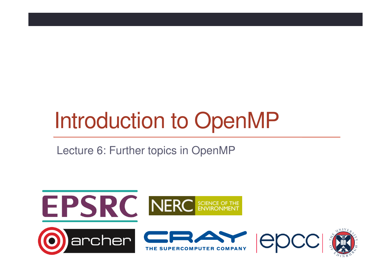# Introduction to OpenMP

Lecture 6: Further topics in OpenMP

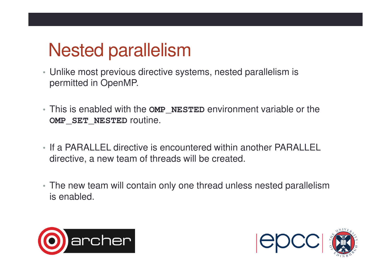# Nested parallelism

- Unlike most previous directive systems, nested parallelism is permitted in OpenMP.
- This is enabled with the **OMP\_NESTED** environment variable or the **OMP\_SET\_NESTED** routine.
- If a PARALLEL directive is encountered within another PARALLEL directive, a new team of threads will be created.
- The new team will contain only one thread unless nested parallelism is enabled.



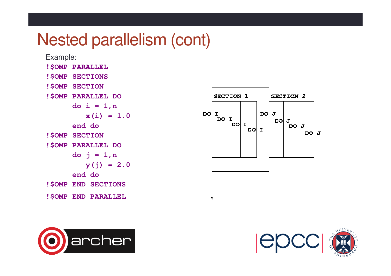#### Nested parallelism (cont)

Example:**!\$OMP PARALLEL !\$OMP SECTIONS !\$OMP SECTION !\$OMP PARALLEL DO do i = 1,n x(i) = 1.0end do !\$OMP SECTION !\$OMP PARALLEL DO do j = 1,n y(j) = 2.0end do !\$OMP END SECTIONS!\$OMP END PARALLEL**





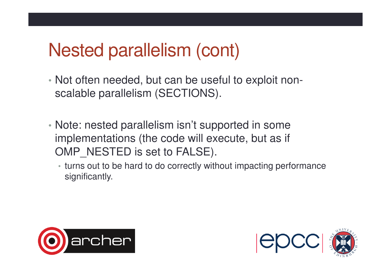### Nested parallelism (cont)

- Not often needed, but can be useful to exploit nonscalable parallelism (SECTIONS).
- Note: nested parallelism isn't supported in some implementations (the code will execute, but as if OMP NESTED is set to FALSE).
	- turns out to be hard to do correctly without impacting performance significantly.



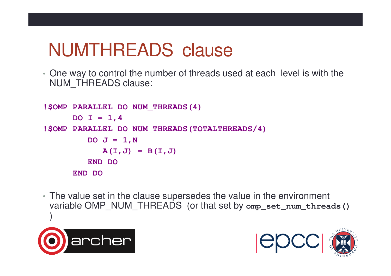## NUMTHREADS clause

• One way to control the number of threads used at each level is with the NUM THREADS clause:

```
!$OMP PARALLEL DO NUM_THREADS(4)DO I = 1,4 
!$OMP PARALLEL DO NUM_THREADS(TOTALTHREADS/4)DO J = 1, NA(I,J) = B(I,J)END DO END DO
```
• The value set in the clause supersedes the value in the environment variable OMP\_NUM\_THREADS (or that set by **omp\_set\_num\_threads()** )



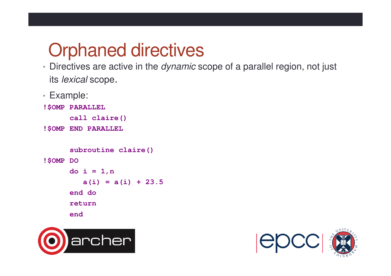## Orphaned directives

- Directives are active in the *dynamic* scope of a parallel region, not just its lexical scope.
- Example:

```
!$OMP PARALLEL
```

```
call claire()
```
**!\$OMP END PARALLEL** 

```
subroutine claire()!$OMP DO d<sup>\alpha</sup> i = 1, na(i) = a(i) + 23.5 end do return end
```


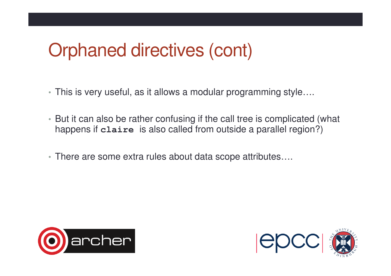## Orphaned directives (cont)

- This is very useful, as it allows a modular programming style….
- But it can also be rather confusing if the call tree is complicated (what happens if **claire** is also called from outside a parallel region?)
- There are some extra rules about data scope attributes….



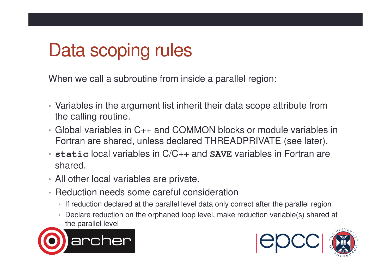# Data scoping rules

When we call a subroutine from inside a parallel region:

- Variables in the argument list inherit their data scope attribute from the calling routine.
- Global variables in C++ and COMMON blocks or module variables in Fortran are shared, unless declared THREADPRIVATE (see later).
- **static** local variables in C/C++ and **SAVE** variables in Fortran are shared.
- All other local variables are private.
- Reduction needs some careful consideration
	- If reduction declared at the parallel level data only correct after the parallel region
	- Declare reduction on the orphaned loop level, make reduction variable(s) shared at the parallel level



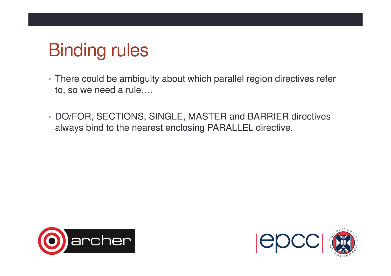# Binding rules

- There could be ambiguity about which parallel region directives refer to, so we need a rule….
- DO/FOR, SECTIONS, SINGLE, MASTER and BARRIER directives always bind to the nearest enclosing PARALLEL directive.



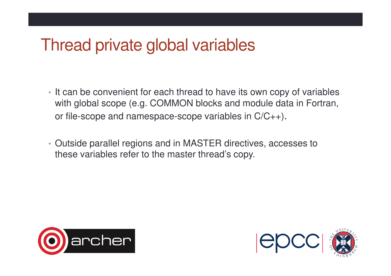#### Thread private global variables

- It can be convenient for each thread to have its own copy of variables with global scope (e.g. COMMON blocks and module data in Fortran, or file-scope and namespace-scope variables in C/C++).
- Outside parallel regions and in MASTER directives, accesses to these variables refer to the master thread's copy.



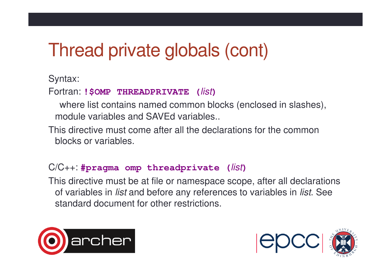# Thread private globals (cont)

Syntax:

#### Fortran: **!\$OMP THREADPRIVATE (**list**)**

- where list contains named common blocks (enclosed in slashes), module variables and SAVEd variables..
- This directive must come after all the declarations for the common blocks or variables.

#### C/C++: **#pragma omp threadprivate (**list**)**

 This directive must be at file or namespace scope, after all declarations of variables in *list* and before any references to variables in *list*. See standard document for other restrictions.



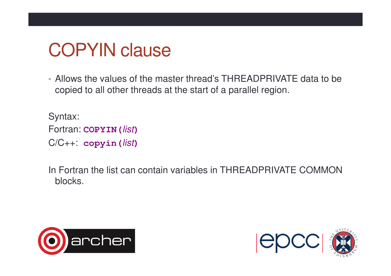### COPYIN clause

• Allows the values of the master thread's THREADPRIVATE data to be copied to all other threads at the start of a parallel region.

Syntax:Fortran: **COPYIN(**list**)**C/C++: **copyin(**list**)**

In Fortran the list can contain variables in THREADPRIVATE COMMON blocks.



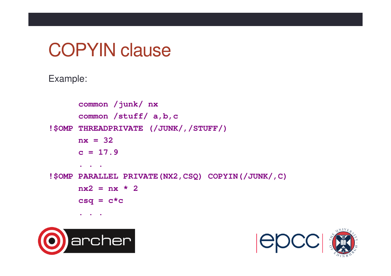#### COPYIN clause

#### Example:

```
common /junk/ nxcommon /stuff/ a,b,c
!$OMP THREADPRIVATE (/JUNK/,/STUFF/)nx = 32c = 17.9 . . .
!$OMP PARALLEL PRIVATE(NX2,CSQ) COPYIN(/JUNK/,C)nx^2 = nx * 2csq = c*c . . .
```


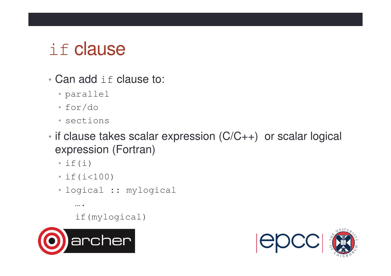# if clause

- •• Can add if clause to:
	- parallel
	- for/do
	- sections
- • if clause takes scalar expression (C/C++) or scalar logical expression (Fortran)
	- $\cdot$  if (i)
	- if(i<100)
	- logical :: mylogical
		- ….

if(mylogical)



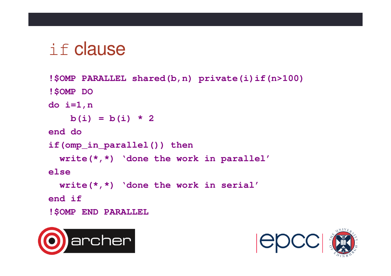# if clause

```
!$OMP PARALLEL shared(b,n) private(i)if(n>100)!$OMP DOdo i=1,nb(i) = b(i) * 2end doif(omp_in_parallel()) thenwrite(*,*) 'done the work in parallel'elsewrite(*,*) 'done the work in serial'end if!$OMP END PARALLEL
```


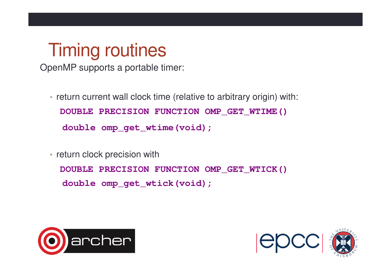#### Timing routines

OpenMP supports a portable timer:

- return current wall clock time (relative to arbitrary origin) with: **DOUBLE PRECISION FUNCTION OMP\_GET\_WTIME()double omp\_get\_wtime(void);**
- return clock precision with

**DOUBLE PRECISION FUNCTION OMP\_GET\_WTICK()double omp\_get\_wtick(void);** 



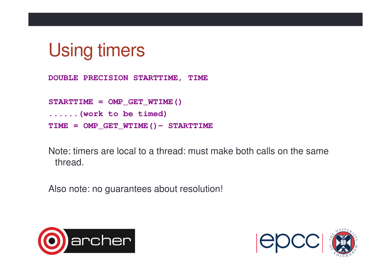

**DOUBLE PRECISION STARTTIME, TIME**

**STARTTIME = OMP\_GET\_WTIME()......(work to be timed)TIME = OMP\_GET\_WTIME()- STARTTIME**

Note: timers are local to a thread: must make both calls on the same thread.

Also note: no guarantees about resolution!